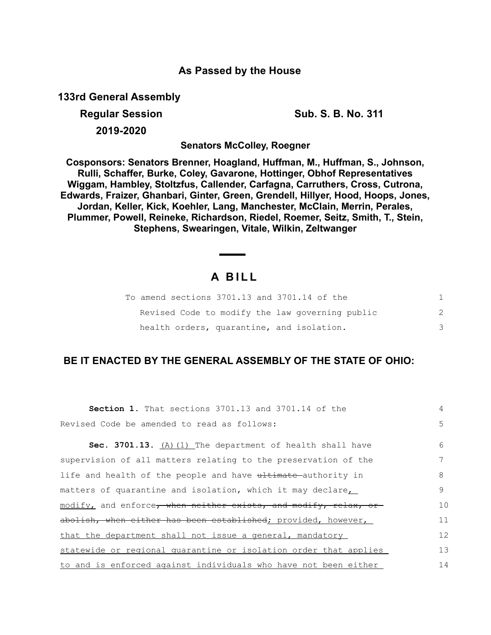### **As Passed by the House**

**133rd General Assembly**

**Regular Session Sub. S. B. No. 311 2019-2020**

**Senators McColley, Roegner**

**Cosponsors: Senators Brenner, Hoagland, Huffman, M., Huffman, S., Johnson, Rulli, Schaffer, Burke, Coley, Gavarone, Hottinger, Obhof Representatives Wiggam, Hambley, Stoltzfus, Callender, Carfagna, Carruthers, Cross, Cutrona, Edwards, Fraizer, Ghanbari, Ginter, Green, Grendell, Hillyer, Hood, Hoops, Jones, Jordan, Keller, Kick, Koehler, Lang, Manchester, McClain, Merrin, Perales, Plummer, Powell, Reineke, Richardson, Riedel, Roemer, Seitz, Smith, T., Stein, Stephens, Swearingen, Vitale, Wilkin, Zeltwanger**

# **A B I L L**

| To amend sections 3701.13 and 3701.14 of the    |  |
|-------------------------------------------------|--|
| Revised Code to modify the law governing public |  |
| health orders, quarantine, and isolation.       |  |

## **BE IT ENACTED BY THE GENERAL ASSEMBLY OF THE STATE OF OHIO:**

| <b>Section 1.</b> That sections 3701.13 and 3701.14 of the       | 4  |
|------------------------------------------------------------------|----|
| Revised Code be amended to read as follows:                      | 5  |
| Sec. 3701.13. (A) (1) The department of health shall have        | 6  |
| supervision of all matters relating to the preservation of the   |    |
| life and health of the people and have ultimate authority in     | 8  |
| matters of quarantine and isolation, which it may declare        | 9  |
| modify, and enforce, when neither exists, and modify, relax, or  | 10 |
| abolish, when either has been established; provided, however,    | 11 |
| that the department shall not issue a general, mandatory         | 12 |
| statewide or regional quarantine or isolation order that applies | 13 |
| to and is enforced against individuals who have not been either  | 14 |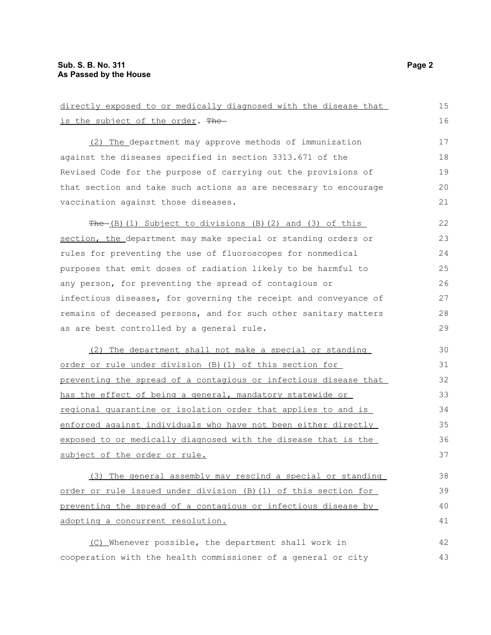| directly exposed to or medically diagnosed with the disease that | 15 |  |
|------------------------------------------------------------------|----|--|
| is the subject of the order. The                                 | 16 |  |
| (2) The department may approve methods of immunization           | 17 |  |
| against the diseases specified in section 3313.671 of the        | 18 |  |
| Revised Code for the purpose of carrying out the provisions of   | 19 |  |
| that section and take such actions as are necessary to encourage | 20 |  |
| vaccination against those diseases.                              | 21 |  |
| The (B) (1) Subject to divisions (B) (2) and (3) of this         | 22 |  |
| section, the department may make special or standing orders or   | 23 |  |
| rules for preventing the use of fluoroscopes for nonmedical      | 24 |  |
| purposes that emit doses of radiation likely to be harmful to    | 25 |  |
| any person, for preventing the spread of contagious or           | 26 |  |
| infectious diseases, for governing the receipt and conveyance of | 27 |  |
| remains of deceased persons, and for such other sanitary matters | 28 |  |
| as are best controlled by a general rule.                        | 29 |  |
| (2) The department shall not make a special or standing          | 30 |  |
| order or rule under division (B) (1) of this section for         | 31 |  |
| preventing the spread of a contagious or infectious disease that | 32 |  |
| has the effect of being a general, mandatory statewide or        | 33 |  |
| regional quarantine or isolation order that applies to and is    | 34 |  |
| enforced against individuals who have not been either directly   | 35 |  |
| exposed to or medically diagnosed with the disease that is the   | 36 |  |
| subject of the order or rule.                                    | 37 |  |
| (3) The general assembly may rescind a special or standing       | 38 |  |
| order or rule issued under division (B) (1) of this section for  | 39 |  |
| preventing the spread of a contagious or infectious disease by   |    |  |
| adopting a concurrent resolution.                                | 41 |  |
| (C) Whenever possible, the department shall work in              | 42 |  |
| cooperation with the health commissioner of a general or city    | 43 |  |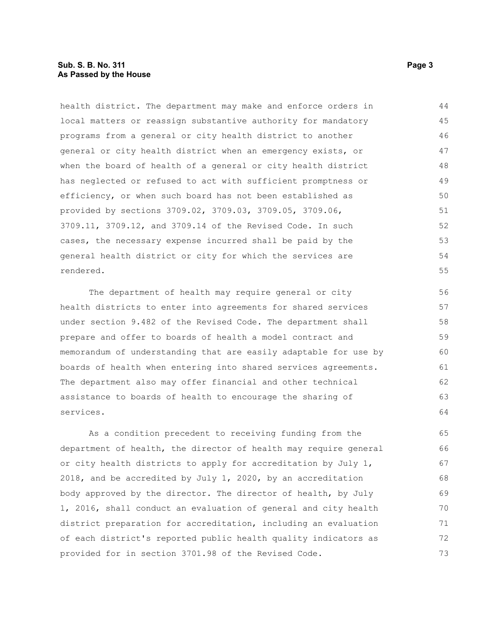#### **Sub. S. B. No. 311 Page 3 As Passed by the House**

health district. The department may make and enforce orders in local matters or reassign substantive authority for mandatory programs from a general or city health district to another general or city health district when an emergency exists, or when the board of health of a general or city health district has neglected or refused to act with sufficient promptness or efficiency, or when such board has not been established as provided by sections 3709.02, 3709.03, 3709.05, 3709.06, 3709.11, 3709.12, and 3709.14 of the Revised Code. In such cases, the necessary expense incurred shall be paid by the general health district or city for which the services are rendered. 44 45 46 47 48 49 50 51 52 53 54 55

The department of health may require general or city health districts to enter into agreements for shared services under section 9.482 of the Revised Code. The department shall prepare and offer to boards of health a model contract and memorandum of understanding that are easily adaptable for use by boards of health when entering into shared services agreements. The department also may offer financial and other technical assistance to boards of health to encourage the sharing of services.

As a condition precedent to receiving funding from the department of health, the director of health may require general or city health districts to apply for accreditation by July 1, 2018, and be accredited by July 1, 2020, by an accreditation body approved by the director. The director of health, by July 1, 2016, shall conduct an evaluation of general and city health district preparation for accreditation, including an evaluation of each district's reported public health quality indicators as provided for in section 3701.98 of the Revised Code. 65 66 67 68 69 70 71 72 73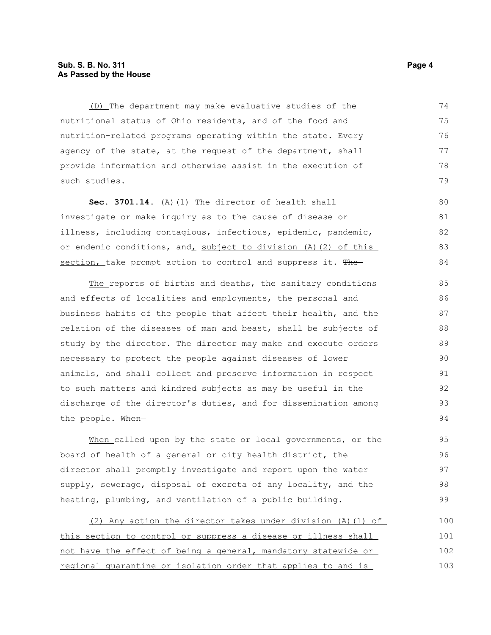#### **Sub. S. B. No. 311 Page 4 As Passed by the House**

(D) The department may make evaluative studies of the nutritional status of Ohio residents, and of the food and nutrition-related programs operating within the state. Every agency of the state, at the request of the department, shall provide information and otherwise assist in the execution of such studies. 74 75 76 77 78 79

Sec. 3701.14. (A) (1) The director of health shall investigate or make inquiry as to the cause of disease or illness, including contagious, infectious, epidemic, pandemic, or endemic conditions, and, subject to division (A)(2) of this section, take prompt action to control and suppress it. The 80 81 82 83 84

The reports of births and deaths, the sanitary conditions and effects of localities and employments, the personal and business habits of the people that affect their health, and the relation of the diseases of man and beast, shall be subjects of study by the director. The director may make and execute orders necessary to protect the people against diseases of lower animals, and shall collect and preserve information in respect to such matters and kindred subjects as may be useful in the discharge of the director's duties, and for dissemination among the people. When-85 86 87 88 89 90 91 92 93 94

When called upon by the state or local governments, or the board of health of a general or city health district, the director shall promptly investigate and report upon the water supply, sewerage, disposal of excreta of any locality, and the heating, plumbing, and ventilation of a public building.

(2) Any action the director takes under division (A)(1) of this section to control or suppress a disease or illness shall not have the effect of being a general, mandatory statewide or regional quarantine or isolation order that applies to and is 100 101 102 103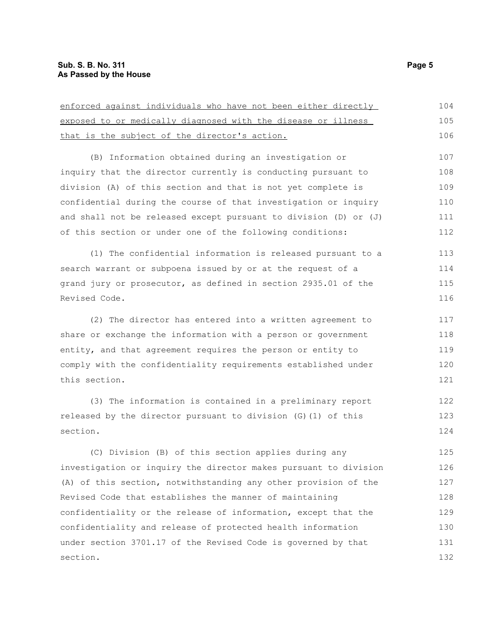| enforced against individuals who have not been either directly   | 104 |
|------------------------------------------------------------------|-----|
| exposed to or medically diagnosed with the disease or illness    | 105 |
| that is the subject of the director's action.                    | 106 |
| (B) Information obtained during an investigation or              | 107 |
| inquiry that the director currently is conducting pursuant to    | 108 |
| division (A) of this section and that is not yet complete is     | 109 |
| confidential during the course of that investigation or inquiry  | 110 |
| and shall not be released except pursuant to division (D) or (J) | 111 |
| of this section or under one of the following conditions:        | 112 |
| (1) The confidential information is released pursuant to a       | 113 |
| search warrant or subpoena issued by or at the request of a      | 114 |
| grand jury or prosecutor, as defined in section 2935.01 of the   | 115 |
| Revised Code.                                                    | 116 |
| (2) The director has entered into a written agreement to         | 117 |
| share or exchange the information with a person or government    | 118 |
| entity, and that agreement requires the person or entity to      | 119 |
| comply with the confidentiality requirements established under   | 120 |
| this section.                                                    | 121 |
| (3) The information is contained in a preliminary report         | 122 |
| released by the director pursuant to division (G)(1) of this     | 123 |
| section.                                                         | 124 |
| (C) Division (B) of this section applies during any              | 125 |
| investigation or inquiry the director makes pursuant to division | 126 |
| (A) of this section, notwithstanding any other provision of the  | 127 |
| Revised Code that establishes the manner of maintaining          | 128 |
| confidentiality or the release of information, except that the   | 129 |
| confidentiality and release of protected health information      | 130 |
| under section 3701.17 of the Revised Code is governed by that    | 131 |
| section.                                                         | 132 |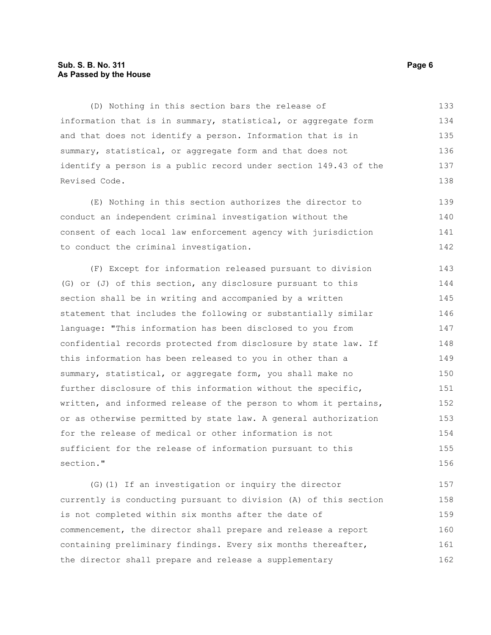#### **Sub. S. B. No. 311 Page 6 As Passed by the House**

(D) Nothing in this section bars the release of information that is in summary, statistical, or aggregate form and that does not identify a person. Information that is in summary, statistical, or aggregate form and that does not identify a person is a public record under section 149.43 of the Revised Code. 133 134 135 136 137 138

(E) Nothing in this section authorizes the director to conduct an independent criminal investigation without the consent of each local law enforcement agency with jurisdiction to conduct the criminal investigation. 139 140 141 142

(F) Except for information released pursuant to division (G) or (J) of this section, any disclosure pursuant to this section shall be in writing and accompanied by a written statement that includes the following or substantially similar language: "This information has been disclosed to you from confidential records protected from disclosure by state law. If this information has been released to you in other than a summary, statistical, or aggregate form, you shall make no further disclosure of this information without the specific, written, and informed release of the person to whom it pertains, or as otherwise permitted by state law. A general authorization for the release of medical or other information is not sufficient for the release of information pursuant to this section." 143 144 145 146 147 148 149 150 151 152 153 154 155 156

(G)(1) If an investigation or inquiry the director currently is conducting pursuant to division (A) of this section is not completed within six months after the date of commencement, the director shall prepare and release a report containing preliminary findings. Every six months thereafter, the director shall prepare and release a supplementary 157 158 159 160 161 162